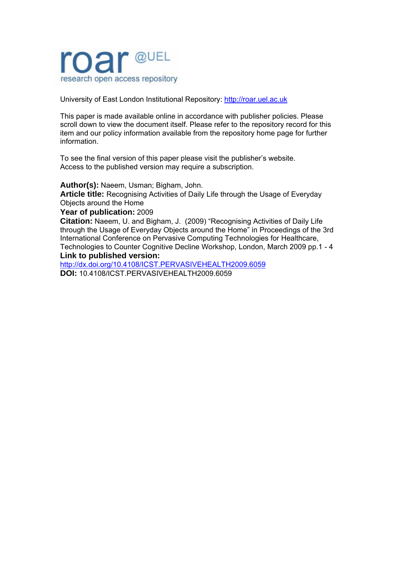

University of East London Institutional Repository: [http://roar.uel.ac.uk](http://roar.uel.ac.uk/) 

This paper is made available online in accordance with publisher policies. Please scroll down to view the document itself. Please refer to the repository record for this item and our policy information available from the repository home page for further information.

To see the final version of this paper please visit the publisher's website. Access to the published version may require a subscription.

**Author(s):** Naeem, Usman; Bigham, John.

**Article title:** Recognising Activities of Daily Life through the Usage of Everyday Objects around the Home

**Year of publication:** 2009

**Citation:** Naeem, U. and Bigham, J. (2009) "Recognising Activities of Daily Life through the Usage of Everyday Objects around the Home" in Proceedings of the 3rd International Conference on Pervasive Computing Technologies for Healthcare, Technologies to Counter Cognitive Decline Workshop, London, March 2009 pp.1 - 4

## **Link to published version:**

<http://dx.doi.org/10.4108/ICST.PERVASIVEHEALTH2009.6059> **DOI:** 10.4108/ICST.PERVASIVEHEALTH2009.6059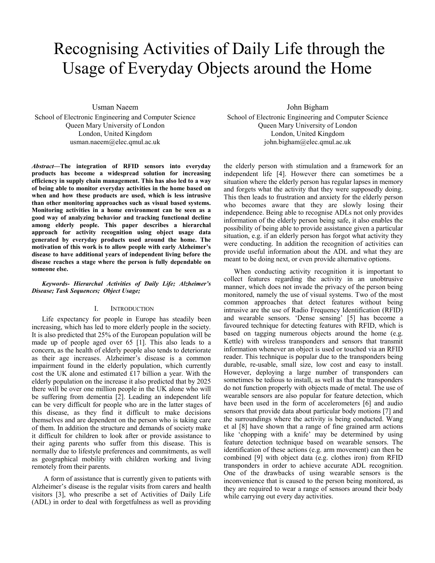# Recognising Activities of Daily Life through the Usage of Everyday Objects around the Home

Usman Naeem

School of Electronic Engineering and Computer Science Queen Mary University of London London, United Kingdom usman.naeem@elec.qmul.ac.uk

*Abstract***—The integration of RFID sensors into everyday products has become a widespread solution for increasing efficiency in supply chain management. This has also led to a way of being able to monitor everyday activities in the home based on when and how these products are used, which is less intrusive than other monitoring approaches such as visual based systems. Monitoring activities in a home environment can be seen as a good way of analyzing behavior and tracking functional decline among elderly people. This paper describes a hierarchal approach for activity recognition using object usage data generated by everyday products used around the home. The motivation of this work is to allow people with early Alzheimer's disease to have additional years of independent living before the disease reaches a stage where the person is fully dependable on someone else.** 

### *Keywords- Hierarchal Activities of Daily Life; Alzheimer's Disease; Task Sequences; Object Usage;*

## I. INTRODUCTION

Life expectancy for people in Europe has steadily been increasing, which has led to more elderly people in the society. It is also predicted that 25% of the European population will be made up of people aged over 65 [1]. This also leads to a concern, as the health of elderly people also tends to deteriorate as their age increases. Alzheimer's disease is a common impairment found in the elderly population, which currently cost the UK alone and estimated £17 billion a year. With the elderly population on the increase it also predicted that by 2025 there will be over one million people in the UK alone who will be suffering from dementia [2]. Leading an independent life can be very difficult for people who are in the latter stages of this disease, as they find it difficult to make decisions themselves and are dependent on the person who is taking care of them. In addition the structure and demands of society make it difficult for children to look after or provide assistance to their aging parents who suffer from this disease. This is normally due to lifestyle preferences and commitments, as well as geographical mobility with children working and living remotely from their parents.

 A form of assistance that is currently given to patients with Alzheimer's disease is the regular visits from carers and health visitors [3], who prescribe a set of Activities of Daily Life (ADL) in order to deal with forgetfulness as well as providing

John Bigham School of Electronic Engineering and Computer Science Queen Mary University of London London, United Kingdom john.bigham@elec.qmul.ac.uk

the elderly person with stimulation and a framework for an independent life [4]. However there can sometimes be a situation where the elderly person has regular lapses in memory and forgets what the activity that they were supposedly doing. This then leads to frustration and anxiety for the elderly person who becomes aware that they are slowly losing their independence. Being able to recognise ADLs not only provides information of the elderly person being safe, it also enables the possibility of being able to provide assistance given a particular situation, e.g. if an elderly person has forgot what activity they were conducting. In addition the recognition of activities can provide useful information about the ADL and what they are meant to be doing next, or even provide alternative options.

When conducting activity recognition it is important to collect features regarding the activity in an unobtrusive manner, which does not invade the privacy of the person being monitored, namely the use of visual systems. Two of the most common approaches that detect features without being intrusive are the use of Radio Frequency Identification (RFID) and wearable sensors. 'Dense sensing' [5] has become a favoured technique for detecting features with RFID, which is based on tagging numerous objects around the home (e.g. Kettle) with wireless transponders and sensors that transmit information whenever an object is used or touched via an RFID reader. This technique is popular due to the transponders being durable, re-usable, small size, low cost and easy to install. However, deploying a large number of transponders can sometimes be tedious to install, as well as that the transponders do not function properly with objects made of metal. The use of wearable sensors are also popular for feature detection, which have been used in the form of accelerometers [6] and audio sensors that provide data about particular body motions [7] and the surroundings where the activity is being conducted. Wang et al [8] have shown that a range of fine grained arm actions like 'chopping with a knife' may be determined by using feature detection technique based on wearable sensors. The identification of these actions (e.g. arm movement) can then be combined [9] with object data (e.g. clothes iron) from RFID transponders in order to achieve accurate ADL recognition. One of the drawbacks of using wearable sensors is the inconvenience that is caused to the person being monitored, as they are required to wear a range of sensors around their body while carrying out every day activities.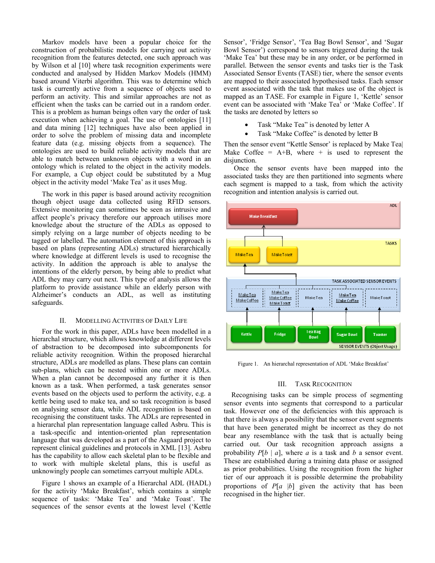Markov models have been a popular choice for the construction of probabilistic models for carrying out activity recognition from the features detected, one such approach was by Wilson et al [10] where task recognition experiments were conducted and analysed by Hidden Markov Models (HMM) based around Viterbi algorithm. This was to determine which task is currently active from a sequence of objects used to perform an activity. This and similar approaches are not as efficient when the tasks can be carried out in a random order. This is a problem as human beings often vary the order of task execution when achieving a goal. The use of ontologies [11] and data mining [12] techniques have also been applied in order to solve the problem of missing data and incomplete feature data (e.g. missing objects from a sequence). The ontologies are used to build reliable activity models that are able to match between unknown objects with a word in an ontology which is related to the object in the activity models. For example, a Cup object could be substituted by a Mug object in the activity model 'Make Tea' as it uses Mug.

The work in this paper is based around activity recognition though object usage data collected using RFID sensors. Extensive monitoring can sometimes be seen as intrusive and affect people's privacy therefore our approach utilises more knowledge about the structure of the ADLs as opposed to simply relying on a large number of objects needing to be tagged or labelled. The automation element of this approach is based on plans (representing ADLs) structured hierarchically where knowledge at different levels is used to recognise the activity. In addition the approach is able to analyse the intentions of the elderly person, by being able to predict what ADL they may carry out next. This type of analysis allows the platform to provide assistance while an elderly person with Alzheimer's conducts an ADL, as well as instituting safeguards.

#### II. MODELLING ACTIVITIES OF DAILY LIFE

For the work in this paper, ADLs have been modelled in a hierarchal structure, which allows knowledge at different levels of abstraction to be decomposed into subcomponents for reliable activity recognition. Within the proposed hierarchal structure, ADLs are modelled as plans. These plans can contain sub-plans, which can be nested within one or more ADLs. When a plan cannot be decomposed any further it is then known as a task. When performed, a task generates sensor events based on the objects used to perform the activity, e.g. a kettle being used to make tea, and so task recognition is based on analysing sensor data, while ADL recognition is based on recognising the constituent tasks. The ADLs are represented in a hierarchal plan representation language called Asbru. This is a task-specific and intention-oriented plan representation language that was developed as a part of the Asgaard project to represent clinical guidelines and protocols in XML [13]. Asbru has the capability to allow each skeletal plan to be flexible and to work with multiple skeletal plans, this is useful as unknowingly people can sometimes carryout multiple ADLs.

Figure 1 shows an example of a Hierarchal ADL (HADL) for the activity 'Make Breakfast', which contains a simple sequence of tasks: 'Make Tea' and 'Make Toast'. The sequences of the sensor events at the lowest level ('Kettle

Sensor', 'Fridge Sensor', 'Tea Bag Bowl Sensor', and 'Sugar Bowl Sensor') correspond to sensors triggered during the task 'Make Tea' but these may be in any order, or be performed in parallel. Between the sensor events and tasks tier is the Task Associated Sensor Events (TASE) tier, where the sensor events are mapped to their associated hypothesised tasks. Each sensor event associated with the task that makes use of the object is mapped as an TASE. For example in Figure 1, 'Kettle' sensor event can be associated with 'Make Tea' or 'Make Coffee'. If the tasks are denoted by letters so

- Task "Make Tea" is denoted by letter A
- Task "Make Coffee" is denoted by letter B

Then the sensor event "Kettle Sensor' is replaced by Make Tea| Make Coffee =  $A+B$ , where + is used to represent the disjunction.

Once the sensor events have been mapped into the associated tasks they are then partitioned into segments where each segment is mapped to a task, from which the activity recognition and intention analysis is carried out.



Figure 1. An hierarchal representation of ADL 'Make Breakfast'

## III. TASK RECOGNITION

Recognising tasks can be simple process of segmenting sensor events into segments that correspond to a particular task. However one of the deficiencies with this approach is that there is always a possibility that the sensor event segments that have been generated might be incorrect as they do not bear any resemblance with the task that is actually being carried out. Our task recognition approach assigns a probability  $P[b \mid a]$ , where *a* is a task and *b* a sensor event. These are established during a training data phase or assigned as prior probabilities. Using the recognition from the higher tier of our approach it is possible determine the probability proportions of *P*[*a* |*b*] given the activity that has been recognised in the higher tier.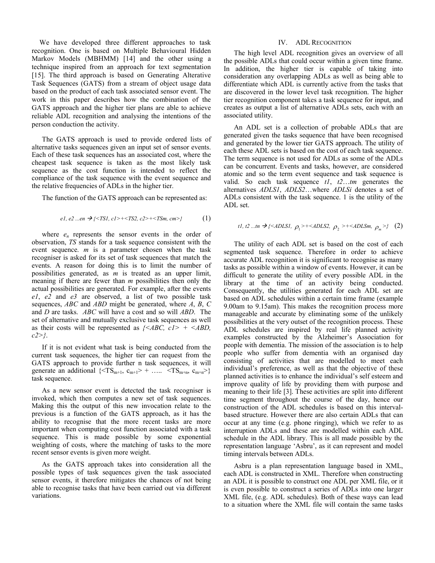We have developed three different approaches to task recognition. One is based on Multiple Behavioural Hidden Markov Models (MBHMM) [14] and the other using a technique inspired from an approach for text segmentation [15]. The third approach is based on Generating Alterative Task Sequences (GATS) from a stream of object usage data based on the product of each task associated sensor event. The work in this paper describes how the combination of the GATS approach and the higher tier plans are able to achieve reliable ADL recognition and analysing the intentions of the person conduction the activity.

The GATS approach is used to provide ordered lists of alternative tasks sequences given an input set of sensor events. Each of these task sequences has an associated cost, where the cheapest task sequence is taken as the most likely task sequence as the cost function is intended to reflect the compliance of the task sequence with the event sequence and the relative frequencies of ADLs in the higher tier.

The function of the GATS approach can be represented as:

$$
el, e2...en \rightarrow \{\leq TSI, c1>+\leq TSS, c2>+\leq TSm, cm>\} \tag{1}
$$

where  $e_n$  represents the sensor events in the order of observation, *TS* stands for a task sequence consistent with the event sequence. *m* is a parameter chosen when the task recogniser is asked for its set of task sequences that match the events. A reason for doing this is to limit the number of possibilities generated, as *m* is treated as an upper limit, meaning if there are fewer than *m* possibilities then only the actual possibilities are generated. For example, after the events *e1*, *e2* and *e3* are observed, a list of two possible task sequences, *ABC* and *ABD* might be generated, where *A*, *B*, *C* and *D* are tasks. *ABC* will have a cost and so will *ABD*. The set of alternative and mutually exclusive task sequences as well as their costs will be represented as *{<ABC, c1> + <ABD, c2>}*.

If it is not evident what task is being conducted from the current task sequences, the higher tier can request from the GATS approach to provide further n task sequences, it will generate an additional  $\{$ task sequence.

As a new sensor event is detected the task recogniser is invoked, which then computes a new set of task sequences. Making this the output of this new invocation relate to the previous is a function of the GATS approach, as it has the ability to recognise that the more recent tasks are more important when computing cost function associated with a task sequence. This is made possible by some exponential weighting of costs, where the matching of tasks to the more recent sensor events is given more weight.

As the GATS approach takes into consideration all the possible types of task sequences given the task associated sensor events, it therefore mitigates the chances of not being able to recognise tasks that have been carried out via different variations.

#### IV. ADL RECOGNITION

The high level ADL recognition gives an overview of all the possible ADLs that could occur within a given time frame. In addition, the higher tier is capable of taking into consideration any overlapping ADLs as well as being able to differentiate which ADL is currently active from the tasks that are discovered in the lower level task recognition. The higher tier recognition component takes a task sequence for input, and creates as output a list of alternative ADLs sets, each with an associated utility.

An ADL set is a collection of probable ADLs that are generated given the tasks sequence that have been recognised and generated by the lower tier GATS approach. The utility of each these ADL sets is based on the cost of each task sequence. The term sequence is not used for ADLs as some of the ADLs can be concurrent. Events and tasks, however, are considered atomic and so the term event sequence and task sequence is valid. So each task sequence *t1*, *t2*…*tm* generates the alternatives *ADLS1*, *ADLS2*…where *ADLSi* denotes a set of ADLs consistent with the task sequence. 1 is the utility of the ADL set.

*tl*, *t2* ... *tn* 
$$
\rightarrow
$$
 {*<ADLS1*,  $\rho_1$  >+**ADLS2*,  $\rho_2$  >+**ADLSm*,  $\rho_m$  >} (2)**

The utility of each ADL set is based on the cost of each segmented task sequence. Therefore in order to achieve accurate ADL recognition it is significant to recognise as many tasks as possible within a window of events. However, it can be difficult to generate the utility of every possible ADL in the library at the time of an activity being conducted. Consequently, the utilities generated for each ADL set are based on ADL schedules within a certain time frame (example 9.00am to 9.15am). This makes the recognition process more manageable and accurate by eliminating some of the unlikely possibilities at the very outset of the recognition process. These ADL schedules are inspired by real life planned activity examples constructed by the Alzheimer's Association for people with dementia. The mission of the association is to help people who suffer from dementia with an organised day consisting of activities that are modelled to meet each individual's preference, as well as that the objective of these planned activities is to enhance the individual's self esteem and improve quality of life by providing them with purpose and meaning to their life [3]. These activities are split into different time segment throughout the course of the day, hence our construction of the ADL schedules is based on this intervalbased structure. However there are also certain ADLs that can occur at any time (e.g. phone ringing), which we refer to as interruption ADLs and these are modelled within each ADL schedule in the ADL library. This is all made possible by the representation language 'Asbru', as it can represent and model timing intervals between ADLs.

Asbru is a plan representation language based in XML, each ADL is constructed in XML. Therefore when constructing an ADL it is possible to construct one ADL per XML file, or it is even possible to construct a series of ADLs into one larger XML file, (e.g. ADL schedules). Both of these ways can lead to a situation where the XML file will contain the same tasks